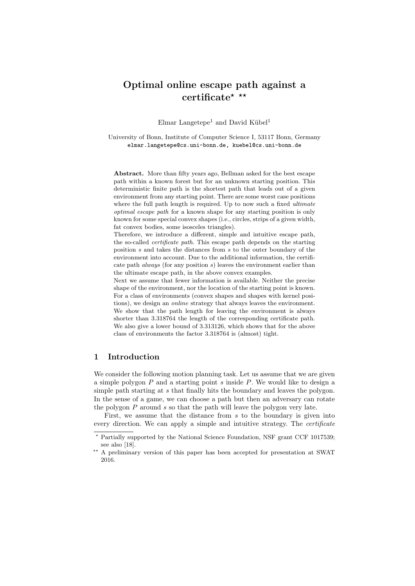# Optimal online escape path against a certificate\* \*\*

Elmar Langetepe<sup>1</sup> and David Kübel<sup>1</sup>

University of Bonn, Institute of Computer Science I, 53117 Bonn, Germany elmar.langetepe@cs.uni-bonn.de, kuebel@cs.uni-bonn.de

Abstract. More than fifty years ago, Bellman asked for the best escape path within a known forest but for an unknown starting position. This deterministic finite path is the shortest path that leads out of a given environment from any starting point. There are some worst case positions where the full path length is required. Up to now such a fixed *ultimate* optimal escape path for a known shape for any starting position is only known for some special convex shapes (i.e., circles, strips of a given width, fat convex bodies, some isosceles triangles).

Therefore, we introduce a different, simple and intuitive escape path, the so-called certificate path. This escape path depends on the starting position s and takes the distances from s to the outer boundary of the environment into account. Due to the additional information, the certificate path always (for any position s) leaves the environment earlier than the ultimate escape path, in the above convex examples.

Next we assume that fewer information is available. Neither the precise shape of the environment, nor the location of the starting point is known. For a class of environments (convex shapes and shapes with kernel positions), we design an online strategy that always leaves the environment. We show that the path length for leaving the environment is always shorter than 3.318764 the length of the corresponding certificate path. We also give a lower bound of 3.313126, which shows that for the above class of environments the factor 3.318764 is (almost) tight.

## 1 Introduction

We consider the following motion planning task. Let us assume that we are given a simple polygon  $P$  and a starting point  $s$  inside  $P$ . We would like to design a simple path starting at s that finally hits the boundary and leaves the polygon. In the sense of a game, we can choose a path but then an adversary can rotate the polygon  $P$  around  $s$  so that the path will leave the polygon very late.

First, we assume that the distance from  $s$  to the boundary is given into every direction. We can apply a simple and intuitive strategy. The *certificate* 

<sup>?</sup> Partially supported by the National Science Foundation, NSF grant CCF 1017539; see also [\[18\]](#page-23-0).

<sup>\*\*</sup> A preliminary version of this paper has been accepted for presentation at SWAT 2016.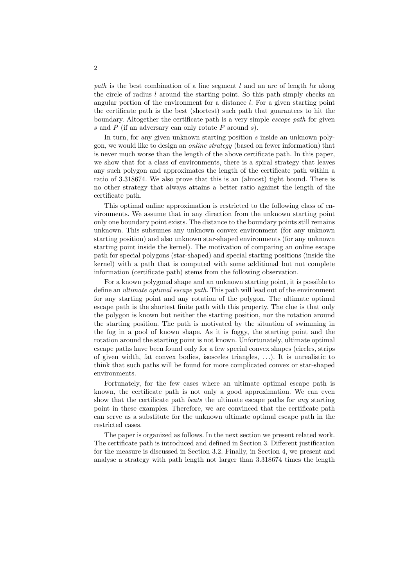path is the best combination of a line segment l and an arc of length  $l\alpha$  along the circle of radius  $l$  around the starting point. So this path simply checks an angular portion of the environment for a distance l. For a given starting point the certificate path is the best (shortest) such path that guarantees to hit the boundary. Altogether the certificate path is a very simple escape path for given s and  $P$  (if an adversary can only rotate  $P$  around s).

In turn, for any given unknown starting position s inside an unknown polygon, we would like to design an online strategy (based on fewer information) that is never much worse than the length of the above certificate path. In this paper, we show that for a class of environments, there is a spiral strategy that leaves any such polygon and approximates the length of the certificate path within a ratio of 3.318674. We also prove that this is an (almost) tight bound. There is no other strategy that always attains a better ratio against the length of the certificate path.

This optimal online approximation is restricted to the following class of environments. We assume that in any direction from the unknown starting point only one boundary point exists. The distance to the boundary points still remains unknown. This subsumes any unknown convex environment (for any unknown starting position) and also unknown star-shaped environments (for any unknown starting point inside the kernel). The motivation of comparing an online escape path for special polygons (star-shaped) and special starting positions (inside the kernel) with a path that is computed with some additional but not complete information (certificate path) stems from the following observation.

For a known polygonal shape and an unknown starting point, it is possible to define an *ultimate optimal escape path*. This path will lead out of the environment for any starting point and any rotation of the polygon. The ultimate optimal escape path is the shortest finite path with this property. The clue is that only the polygon is known but neither the starting position, nor the rotation around the starting position. The path is motivated by the situation of swimming in the fog in a pool of known shape. As it is foggy, the starting point and the rotation around the starting point is not known. Unfortunately, ultimate optimal escape paths have been found only for a few special convex shapes (circles, strips of given width, fat convex bodies, isosceles triangles, . . .). It is unrealistic to think that such paths will be found for more complicated convex or star-shaped environments.

Fortunately, for the few cases where an ultimate optimal escape path is known, the certificate path is not only a good approximation. We can even show that the certificate path *beats* the ultimate escape paths for *any* starting point in these examples. Therefore, we are convinced that the certificate path can serve as a substitute for the unknown ultimate optimal escape path in the restricted cases.

The paper is organized as follows. In the next section we present related work. The certificate path is introduced and defined in Section [3.](#page-3-0) Different justification for the measure is discussed in Section [3.2.](#page-6-0) Finally, in Section [4,](#page-12-0) we present and analyse a strategy with path length not larger than 3.318674 times the length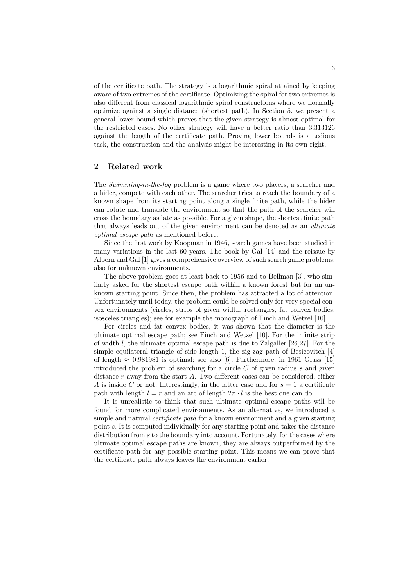of the certificate path. The strategy is a logarithmic spiral attained by keeping aware of two extremes of the certificate. Optimizing the spiral for two extremes is also different from classical logarithmic spiral constructions where we normally optimize against a single distance (shortest path). In Section [5,](#page-15-0) we present a general lower bound which proves that the given strategy is almost optimal for the restricted cases. No other strategy will have a better ratio than 3.313126 against the length of the certificate path. Proving lower bounds is a tedious task, the construction and the analysis might be interesting in its own right.

## 2 Related work

The Swimming-in-the-fog problem is a game where two players, a searcher and a hider, compete with each other. The searcher tries to reach the boundary of a known shape from its starting point along a single finite path, while the hider can rotate and translate the environment so that the path of the searcher will cross the boundary as late as possible. For a given shape, the shortest finite path that always leads out of the given environment can be denoted as an ultimate optimal escape path as mentioned before.

Since the first work by Koopman in 1946, search games have been studied in many variations in the last 60 years. The book by Gal [\[14\]](#page-23-1) and the reissue by Alpern and Gal [\[1\]](#page-22-0) gives a comprehensive overview of such search game problems, also for unknown environments.

The above problem goes at least back to 1956 and to Bellman [\[3\]](#page-22-1), who similarly asked for the shortest escape path within a known forest but for an unknown starting point. Since then, the problem has attracted a lot of attention. Unfortunately until today, the problem could be solved only for very special convex environments (circles, strips of given width, rectangles, fat convex bodies, isosceles triangles); see for example the monograph of Finch and Wetzel [\[10\]](#page-23-2).

For circles and fat convex bodies, it was shown that the diameter is the ultimate optimal escape path; see Finch and Wetzel [\[10\]](#page-23-2). For the infinite strip of width l, the ultimate optimal escape path is due to Zalgaller  $[26,27]$  $[26,27]$ . For the simple equilateral triangle of side length 1, the zig-zag path of Besicovitch [\[4\]](#page-22-2) of length  $\approx 0.981981$  is optimal; see also [\[6\]](#page-22-3). Furthermore, in 1961 Gluss [\[15\]](#page-23-5) introduced the problem of searching for a circle  $C$  of given radius  $s$  and given distance r away from the start A. Two different cases can be considered, either A is inside C or not. Interestingly, in the latter case and for  $s = 1$  a certificate path with length  $l = r$  and an arc of length  $2\pi \cdot l$  is the best one can do.

It is unrealistic to think that such ultimate optimal escape paths will be found for more complicated environments. As an alternative, we introduced a simple and natural *certificate path* for a known environment and a given starting point s. It is computed individually for any starting point and takes the distance distribution from s to the boundary into account. Fortunately, for the cases where ultimate optimal escape paths are known, they are always outperformed by the certificate path for any possible starting point. This means we can prove that the certificate path always leaves the environment earlier.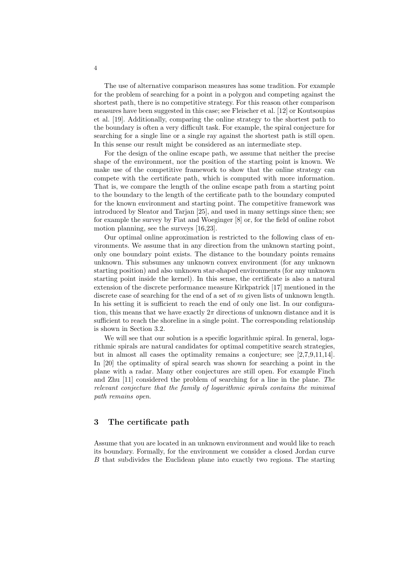The use of alternative comparison measures has some tradition. For example for the problem of searching for a point in a polygon and competing against the shortest path, there is no competitive strategy. For this reason other comparison measures have been suggested in this case; see Fleischer et al. [\[12\]](#page-23-6) or Koutsoupias et al. [\[19\]](#page-23-7). Additionally, comparing the online strategy to the shortest path to the boundary is often a very difficult task. For example, the spiral conjecture for searching for a single line or a single ray against the shortest path is still open. In this sense our result might be considered as an intermediate step.

For the design of the online escape path, we assume that neither the precise shape of the environment, nor the position of the starting point is known. We make use of the competitive framework to show that the online strategy can compete with the certificate path, which is computed with more information. That is, we compare the length of the online escape path from a starting point to the boundary to the length of the certificate path to the boundary computed for the known environment and starting point. The competitive framework was introduced by Sleator and Tarjan [\[25\]](#page-23-8), and used in many settings since then; see for example the survey by Fiat and Woeginger [\[8\]](#page-23-9) or, for the field of online robot motion planning, see the surveys [\[16,](#page-23-10)[23\]](#page-23-11).

Our optimal online approximation is restricted to the following class of environments. We assume that in any direction from the unknown starting point, only one boundary point exists. The distance to the boundary points remains unknown. This subsumes any unknown convex environment (for any unknown starting position) and also unknown star-shaped environments (for any unknown starting point inside the kernel). In this sense, the certificate is also a natural extension of the discrete performance measure Kirkpatrick [\[17\]](#page-23-12) mentioned in the discrete case of searching for the end of a set of m given lists of unknown length. In his setting it is sufficient to reach the end of only one list. In our configuration, this means that we have exactly  $2\pi$  directions of unknown distance and it is sufficient to reach the shoreline in a single point. The corresponding relationship is shown in Section [3.2.](#page-6-0)

We will see that our solution is a specific logarithmic spiral. In general, logarithmic spirals are natural candidates for optimal competitive search strategies, but in almost all cases the optimality remains a conjecture; see [\[2,](#page-22-4)[7,](#page-22-5)[9,](#page-23-13)[11,](#page-23-14)[14\]](#page-23-1). In [\[20\]](#page-23-15) the optimality of spiral search was shown for searching a point in the plane with a radar. Many other conjectures are still open. For example Finch and Zhu [\[11\]](#page-23-14) considered the problem of searching for a line in the plane. The relevant conjecture that the family of logarithmic spirals contains the minimal path remains open.

## <span id="page-3-0"></span>3 The certificate path

Assume that you are located in an unknown environment and would like to reach its boundary. Formally, for the environment we consider a closed Jordan curve B that subdivides the Euclidean plane into exactly two regions. The starting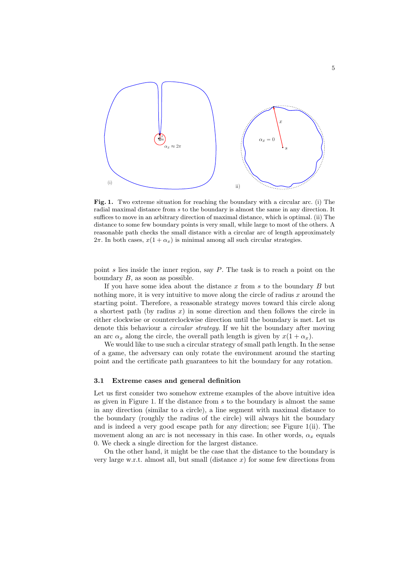

<span id="page-4-0"></span>Fig. 1. Two extreme situation for reaching the boundary with a circular arc. (i) The radial maximal distance from s to the boundary is almost the same in any direction. It suffices to move in an arbitrary direction of maximal distance, which is optimal. (ii) The distance to some few boundary points is very small, while large to most of the others. A reasonable path checks the small distance with a circular arc of length approximately  $2\pi$ . In both cases,  $x(1 + \alpha_x)$  is minimal among all such circular strategies.

point s lies inside the inner region, say  $P$ . The task is to reach a point on the boundary  $B$ , as soon as possible.

If you have some idea about the distance x from s to the boundary  $B$  but nothing more, it is very intuitive to move along the circle of radius  $x$  around the starting point. Therefore, a reasonable strategy moves toward this circle along a shortest path (by radius  $x$ ) in some direction and then follows the circle in either clockwise or counterclockwise direction until the boundary is met. Let us denote this behaviour a *circular strategy*. If we hit the boundary after moving an arc  $\alpha_x$  along the circle, the overall path length is given by  $x(1 + \alpha_x)$ .

We would like to use such a circular strategy of small path length. In the sense of a game, the adversary can only rotate the environment around the starting point and the certificate path guarantees to hit the boundary for any rotation.

#### <span id="page-4-1"></span>3.1 Extreme cases and general definition

Let us first consider two somehow extreme examples of the above intuitive idea as given in Figure [1.](#page-4-0) If the distance from s to the boundary is almost the same in any direction (similar to a circle), a line segment with maximal distance to the boundary (roughly the radius of the circle) will always hit the boundary and is indeed a very good escape path for any direction; see Figure [1\(](#page-4-0)ii). The movement along an arc is not necessary in this case. In other words,  $\alpha_x$  equals 0. We check a single direction for the largest distance.

On the other hand, it might be the case that the distance to the boundary is very large w.r.t. almost all, but small (distance  $x$ ) for some few directions from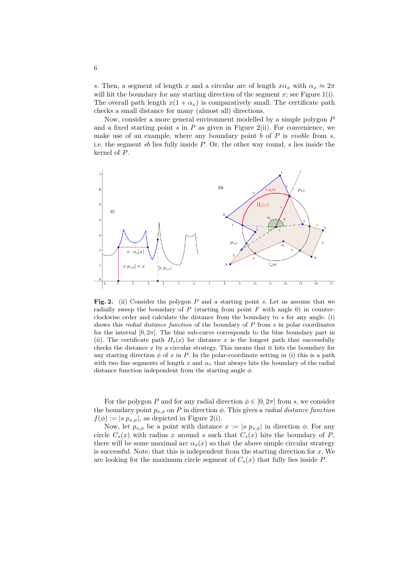s. Then, a segment of length x and a circular arc of length  $x\alpha_x$  with  $\alpha_x \approx 2\pi$ will hit the boundary for any starting direction of the segment  $x$ ; see Figure [1\(](#page-4-0)i). The overall path length  $x(1 + \alpha_x)$  is comparatively small. The certificate path checks a small distance for many (almost all) directions.

Now, consider a more general environment modelled by a simple polygon P and a fixed starting point  $s$  in  $P$  as given in Figure [2\(](#page-5-0)ii). For convenience, we make use of an example, where any boundary point  $b$  of  $P$  is *visible* from  $s$ , i.e. the segment sb lies fully inside  $P$ . Or, the other way round, s lies inside the kernel of P.



<span id="page-5-0"></span>Fig. 2. (ii) Consider the polygon  $P$  and a starting point s. Let us assume that we radially sweep the boundary of  $P$  (starting from point  $F$  with angle 0) in counterclockwise order and calculate the distance from the boundary to  $s$  for any angle. (i) shows this *radial distance function* of the boundary of  $P$  from  $s$  in polar coordinates for the interval  $[0, 2\pi]$ . The blue sub-curve corresponds to the blue boundary part in (ii). The certificate path  $\Pi_s(x)$  for distance x is the longest path that successfully checks the distance  $x$  by a circular strategy. This means that it hits the boundary for any starting direction  $\phi$  of x in P. In the polar-coordinate setting in (i) this is a path with two line segments of length x and  $\alpha_x$  that always hits the boundary of the radial distance function independent from the starting angle  $\phi$ .

For the polygon P and for any radial direction  $\phi \in [0, 2\pi]$  from s, we consider the boundary point  $p_{s,\phi}$  on P in direction  $\phi$ . This gives a *radial distance function*  $f(\phi) := |s \, p_{s,\phi}|$ , as depicted in Figure [2\(](#page-5-0)i).

Now, let  $p_{s,\phi}$  be a point with distance  $x := |s \, p_{s,\phi}|$  in direction  $\phi$ . For any circle  $C_s(x)$  with radius x around s such that  $C_s(x)$  hits the boundary of P. there will be some maximal arc  $\alpha_s(x)$  so that the above simple circular strategy is successful. Note, that this is independent from the starting direction for  $x$ . We are looking for the maximum circle segment of  $C_s(x)$  that fully lies inside P.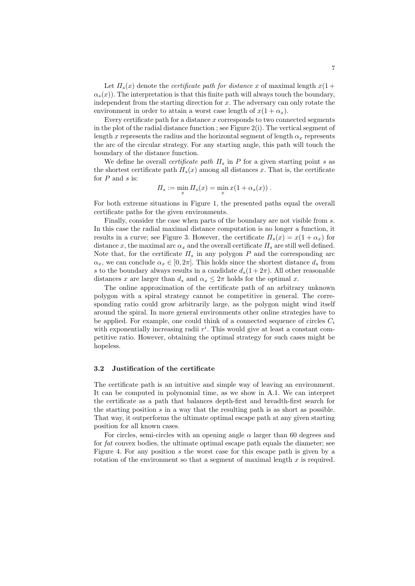Let  $\Pi_s(x)$  denote the *certificate path for distance* x of maximal length  $x(1 +$  $\alpha_s(x)$ ). The interpretation is that this finite path will always touch the boundary, independent from the starting direction for  $x$ . The adversary can only rotate the environment in order to attain a worst case length of  $x(1 + \alpha_x)$ .

Every certificate path for a distance  $x$  corresponds to two connected segments in the plot of the radial distance function; see Figure  $2(i)$ . The vertical segment of length x represents the radius and the horizontal segment of length  $\alpha_x$  represents the arc of the circular strategy. For any starting angle, this path will touch the boundary of the distance function.

We define he overall *certificate path*  $\Pi_s$  in P for a given starting point s as the shortest certificate path  $\Pi_s(x)$  among all distances x. That is, the certificate for  $\boldsymbol{P}$  and  $\boldsymbol{s}$  is:

$$
\Pi_s := \min_x \Pi_s(x) = \min_x x(1 + \alpha_s(x)).
$$

For both extreme situations in Figure [1,](#page-4-0) the presented paths equal the overall certificate paths for the given environments.

Finally, consider the case when parts of the boundary are not visible from s. In this case the radial maximal distance computation is no longer a function, it results in a curve; see Figure [3.](#page-7-0) However, the certificate  $\Pi_s(x) = x(1 + \alpha_x)$  for distance x, the maximal arc  $\alpha_x$  and the overall certificate  $\Pi_s$  are still well defined. Note that, for the certificate  $\Pi_s$  in any polygon  $P$  and the corresponding arc  $\alpha_x$ , we can conclude  $\alpha_x \in [0, 2\pi]$ . This holds since the shortest distance  $d_s$  from s to the boundary always results in a candidate  $d_s(1+2\pi)$ . All other reasonable distances x are larger than  $d_s$  and  $\alpha_x \leq 2\pi$  holds for the optimal x.

The online approximation of the certificate path of an arbitrary unknown polygon with a spiral strategy cannot be competitive in general. The corresponding ratio could grow arbitrarily large, as the polygon might wind itself around the spiral. In more general environments other online strategies have to be applied. For example, one could think of a connected sequence of circles  $C_i$ with exponentially increasing radii  $r^i$ . This would give at least a constant competitive ratio. However, obtaining the optimal strategy for such cases might be hopeless.

#### <span id="page-6-0"></span>3.2 Justification of the certificate

The certificate path is an intuitive and simple way of leaving an environment. It can be computed in polynomial time, as we show in [A.1.](#page-20-0) We can interpret the certificate as a path that balances depth-first and breadth-first search for the starting position s in a way that the resulting path is as short as possible. That way, it outperforms the ultimate optimal escape path at any given starting position for all known cases.

For circles, semi-circles with an opening angle  $\alpha$  larger than 60 degrees and for fat convex bodies, the ultimate optimal escape path equals the diameter; see Figure [4.](#page-8-0) For any position s the worst case for this escape path is given by a rotation of the environment so that a segment of maximal length  $x$  is required.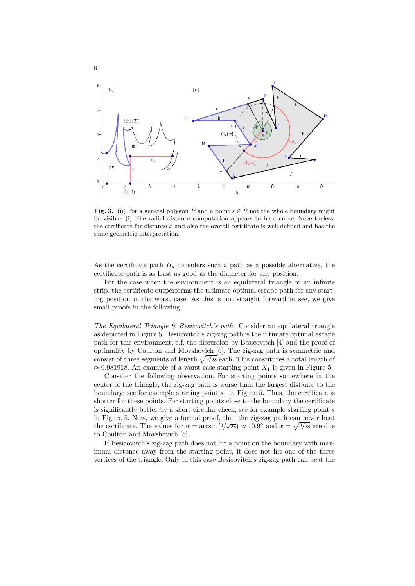

<span id="page-7-0"></span>**Fig. 3.** (ii) For a general polygon P and a point  $s \in P$  not the whole boundary might be visible. (i) The radial distance computation appears to be a curve. Nevertheless, the certificate for distance  $x$  and also the overall certificate is well-defined and has the same geometric interpretation.

As the certificate path  $\Pi_s$  considers such a path as a possible alternative, the certificate path is as least as good as the diameter for any position.

For the case when the environment is an equilateral triangle or an infinite strip, the certificate outperforms the ultimate optimal escape path for any starting position in the worst case. As this is not straight forward to see, we give small proofs in the following.

The Equilateral Triangle  $\mathcal B$  Besicovitch's path. Consider an equilateral triangle as depicted in Figure [5.](#page-9-0) Besicovitch's zig-zag path is the ultimate optimal escape path for this environment; c.f. the discussion by Besicovitch [\[4\]](#page-22-2) and the proof of optimality by Coulton and Movshovich [\[6\]](#page-22-3). The zig-zag path is symmetric and consist of three segments of length  $\sqrt{3}/28$  each. This constitutes a total length of  $\approx 0.981918$ . An example of a worst case starting point  $X_1$  is given in Figure [5.](#page-9-0)

Consider the following observation. For starting points somewhere in the center of the triangle, the zig-zag path is worse than the largest distance to the boundary; see for example starting point  $s_1$  in Figure [5.](#page-9-0) Thus, the certificate is shorter for these points. For starting points close to the boundary the certificate is significantly better by a short circular check; see for example starting point s in Figure [5.](#page-9-0) Now, we give a formal proof, that the zig-zag path can never beat the certificate. The values for  $\alpha = \arcsin(1/\sqrt{28}) \approx 10.9^{\circ}$  and  $x = \sqrt{\frac{3}{28}}$  are due to Coulton and Movshovich [\[6\]](#page-22-3).

If Besicovitch's zig-zag path does not hit a point on the boundary with maximum distance away from the starting point, it does not hit one of the three vertices of the triangle. Only in this case Besicovitch's zig-zag path can beat the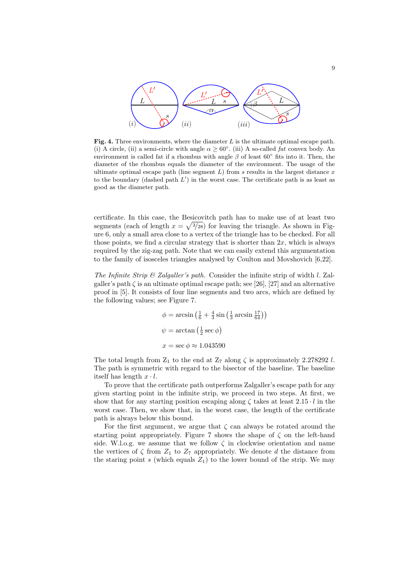

<span id="page-8-0"></span>Fig. 4. Three environments, where the diameter  $L$  is the ultimate optimal escape path. (i) A circle, (ii) a semi-circle with angle  $\alpha \geq 60^{\circ}$ . (iii) A so-called fat convex body. An environment is called fat if a rhombus with angle  $\beta$  of least 60 $\degree$  fits into it. Then, the diameter of the rhombus equals the diameter of the environment. The usage of the ultimate optimal escape path (line segment  $L$ ) from s results in the largest distance  $x$ to the boundary (dashed path  $L'$ ) in the worst case. The certificate path is as least as good as the diameter path.

certificate. In this case, the Besicovitch path has to make use of at least two segments (each of length  $x = \sqrt{\frac{3}{28}}$ ) for leaving the triangle. As shown in Figure [6,](#page-10-0) only a small area close to a vertex of the triangle has to be checked. For all those points, we find a circular strategy that is shorter than  $2x$ , which is always required by the zig-zag path. Note that we can easily extend this argumentation to the family of isosceles triangles analysed by Coulton and Movshovich [\[6](#page-22-3)[,22\]](#page-23-16).

The Infinite Strip  $\mathcal{B}'$  Zalgaller's path. Consider the infinite strip of width l. Zalgaller's path  $\zeta$  is an ultimate optimal escape path; see [\[26\]](#page-23-3), [\[27\]](#page-23-4) and an alternative proof in [\[5\]](#page-22-6). It consists of four line segments and two arcs, which are defined by the following values; see Figure [7.](#page-10-1)

$$
\phi = \arcsin\left(\frac{1}{6} + \frac{4}{3}\sin\left(\frac{1}{3}\arcsin\frac{17}{64}\right)\right)
$$
  

$$
\psi = \arctan\left(\frac{1}{2}\sec\phi\right)
$$
  

$$
x = \sec\phi \approx 1.043590
$$

The total length from  $Z_1$  to the end at  $Z_7$  along  $\zeta$  is approximately 2.278292 l. The path is symmetric with regard to the bisector of the baseline. The baseline itself has length  $x \cdot l$ .

To prove that the certificate path outperforms Zalgaller's escape path for any given starting point in the infinite strip, we proceed in two steps. At first, we show that for any starting position escaping along  $\zeta$  takes at least  $2.15 \cdot l$  in the worst case. Then, we show that, in the worst case, the length of the certificate path is always below this bound.

For the first argument, we argue that  $\zeta$  can always be rotated around the starting point appropriately. Figure [7](#page-10-1) shows the shape of  $\zeta$  on the left-hand side. W.l.o.g. we assume that we follow  $\zeta$  in clockwise orientation and name the vertices of  $\zeta$  from  $Z_1$  to  $Z_7$  appropriately. We denote d the distance from the staring point s (which equals  $Z_1$ ) to the lower bound of the strip. We may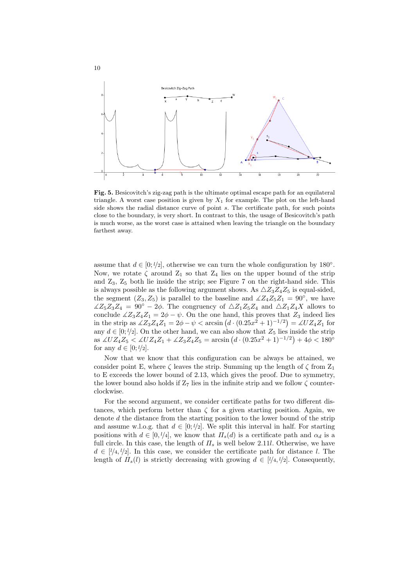

<span id="page-9-0"></span>Fig. 5. Besicovitch's zig-zag path is the ultimate optimal escape path for an equilateral triangle. A worst case position is given by  $X_1$  for example. The plot on the left-hand side shows the radial distance curve of point s. The certificate path, for such points close to the boundary, is very short. In contrast to this, the usage of Besicovitch's path is much worse, as the worst case is attained when leaving the triangle on the boundary farthest away.

assume that  $d \in [0, \frac{l}{2}]$ , otherwise we can turn the whole configuration by 180<sup>°</sup>. Now, we rotate  $\zeta$  around  $Z_1$  so that  $Z_4$  lies on the upper bound of the strip and  $Z_3$ ,  $Z_5$  both lie inside the strip; see Figure [7](#page-10-1) on the right-hand side. This is always possible as the following argument shows. As  $\triangle Z_3Z_4Z_5$  is equal-sided, the segment  $(Z_3, Z_5)$  is parallel to the baseline and  $\angle Z_4Z_5Z_1 = 90^\circ$ , we have  $\angle Z_5Z_3Z_4 = 90^\circ - 2\phi$ . The congruency of  $\triangle Z_1Z_5Z_4$  and  $\triangle Z_1Z_4X$  allows to conclude  $\angle Z_3Z_4Z_1 = 2\phi - \psi$ . On the one hand, this proves that  $Z_3$  indeed lies in the strip as  $\angle Z_3 Z_4 Z_1 = 2\phi - \psi < \arcsin (d \cdot (0.25x^2 + 1)^{-1/2}) = \angle UZ_4 Z_1$  for any  $d \in [0, \frac{l}{2}]$ . On the other hand, we can also show that  $Z_5$  lies inside the strip as  $\angle UZ_4Z_5 < \angle UZ_4Z_1 + \angle Z_3Z_4Z_5 = \arcsin (d \cdot (0.25x^2 + 1)^{-1/2}) + 4\phi < 180^\circ$ for any  $d \in [0; l/2]$ .

Now that we know that this configuration can be always be attained, we consider point E, where  $\zeta$  leaves the strip. Summing up the length of  $\zeta$  from  $Z_1$ to E exceeds the lower bound of 2.13, which gives the proof. Due to symmetry, the lower bound also holds if  $Z_7$  lies in the infinite strip and we follow  $\zeta$  counterclockwise.

For the second argument, we consider certificate paths for two different distances, which perform better than  $\zeta$  for a given starting position. Again, we denote d the distance from the starting position to the lower bound of the strip and assume w.l.o.g. that  $d \in [0; \ell/2]$ . We split this interval in half. For starting positions with  $d \in [0, \frac{l}{4}]$ , we know that  $\Pi_s(d)$  is a certificate path and  $\alpha_d$  is a full circle. In this case, the length of  $\Pi_s$  is well below 2.11l. Otherwise, we have  $d \in [\ell/4, \ell/2]$ . In this case, we consider the certificate path for distance l. The length of  $\Pi_s(l)$  is strictly decreasing with growing  $d \in [l/4, l/2]$ . Consequently,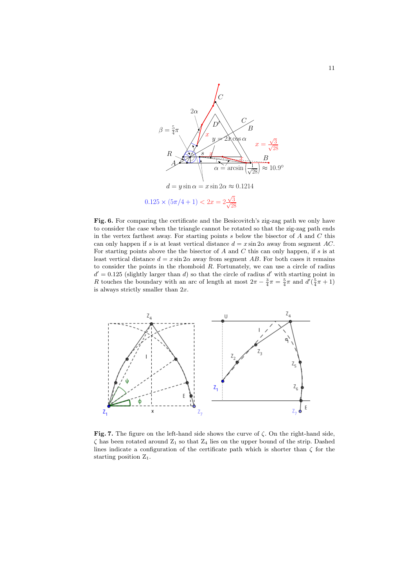

<span id="page-10-0"></span>Fig. 6. For comparing the certificate and the Besicovitch's zig-zag path we only have to consider the case when the triangle cannot be rotated so that the zig-zag path ends in the vertex farthest away. For starting points  $s$  below the bisector of  $A$  and  $C$  this can only happen if s is at least vertical distance  $d = x \sin 2\alpha$  away from segment AC. For starting points above the the bisector of  $A$  and  $C$  this can only happen, if  $s$  is at least vertical distance  $d = x \sin 2\alpha$  away from segment AB. For both cases it remains to consider the points in the rhomboid R. Fortunately, we can use a circle of radius  $d' = 0.125$  (slightly larger than d) so that the circle of radius d' with starting point in R touches the boundary with an arc of length at most  $2\pi - \frac{3}{4}\pi = \frac{5}{4}\pi$  and  $d'(\frac{5}{4}\pi + 1)$ is always strictly smaller than 2x.



<span id="page-10-1"></span>Fig. 7. The figure on the left-hand side shows the curve of  $\zeta$ . On the right-hand side,  $\zeta$  has been rotated around  $Z_1$  so that  $Z_4$  lies on the upper bound of the strip. Dashed lines indicate a configuration of the certificate path which is shorter than  $\zeta$  for the starting position Z1.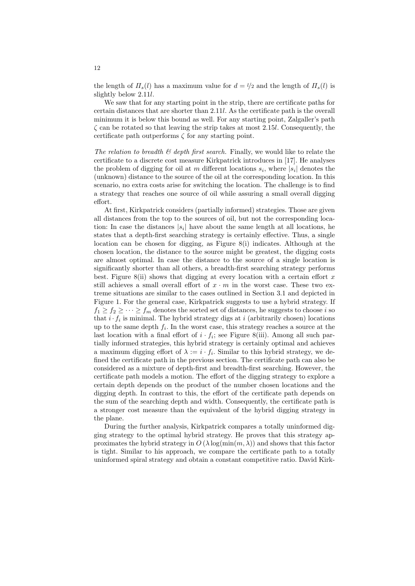the length of  $\Pi_s(l)$  has a maximum value for  $d = l/2$  and the length of  $\Pi_s(l)$  is slightly below 2.11l.

We saw that for any starting point in the strip, there are certificate paths for certain distances that are shorter than 2.11l. As the certificate path is the overall minimum it is below this bound as well. For any starting point, Zalgaller's path  $\zeta$  can be rotated so that leaving the strip takes at most 2.15l. Consequently, the certificate path outperforms  $\zeta$  for any starting point.

The relation to breadth  $\mathcal B$  depth first search. Finally, we would like to relate the certificate to a discrete cost measure Kirkpatrick introduces in [\[17\]](#page-23-12). He analyses the problem of digging for oil at m different locations  $s_i$ , where  $|s_i|$  denotes the (unknown) distance to the source of the oil at the corresponding location. In this scenario, no extra costs arise for switching the location. The challenge is to find a strategy that reaches one source of oil while assuring a small overall digging effort.

At first, Kirkpatrick considers (partially informed) strategies. Those are given all distances from the top to the sources of oil, but not the corresponding location: In case the distances  $|s_i|$  have about the same length at all locations, he states that a depth-first searching strategy is certainly effective. Thus, a single location can be chosen for digging, as Figure [8\(](#page-12-1)i) indicates. Although at the chosen location, the distance to the source might be greatest, the digging costs are almost optimal. In case the distance to the source of a single location is significantly shorter than all others, a breadth-first searching strategy performs best. Figure [8\(](#page-12-1)ii) shows that digging at every location with a certain effort  $x$ still achieves a small overall effort of  $x \cdot m$  in the worst case. These two extreme situations are similar to the cases outlined in Section [3.1](#page-4-1) and depicted in Figure [1.](#page-4-0) For the general case, Kirkpatrick suggests to use a hybrid strategy. If  $f_1 \ge f_2 \ge \cdots \ge f_m$  denotes the sorted set of distances, he suggests to choose i so that  $i \cdot f_i$  is minimal. The hybrid strategy digs at  $i$  (arbitrarily chosen) locations up to the same depth  $f_i$ . In the worst case, this strategy reaches a source at the last location with a final effort of  $i \cdot f_i$ ; see Figure [8\(](#page-12-1)iii). Among all such partially informed strategies, this hybrid strategy is certainly optimal and achieves a maximum digging effort of  $\lambda := i \cdot f_i$ . Similar to this hybrid strategy, we defined the certificate path in the previous section. The certificate path can also be considered as a mixture of depth-first and breadth-first searching. However, the certificate path models a motion. The effort of the digging strategy to explore a certain depth depends on the product of the number chosen locations and the digging depth. In contrast to this, the effort of the certificate path depends on the sum of the searching depth and width. Consequently, the certificate path is a stronger cost measure than the equivalent of the hybrid digging strategy in the plane.

During the further analysis, Kirkpatrick compares a totally uninformed digging strategy to the optimal hybrid strategy. He proves that this strategy approximates the hybrid strategy in  $O(\lambda \log(\min(m, \lambda)))$  and shows that this factor is tight. Similar to his approach, we compare the certificate path to a totally uninformed spiral strategy and obtain a constant competitive ratio. David Kirk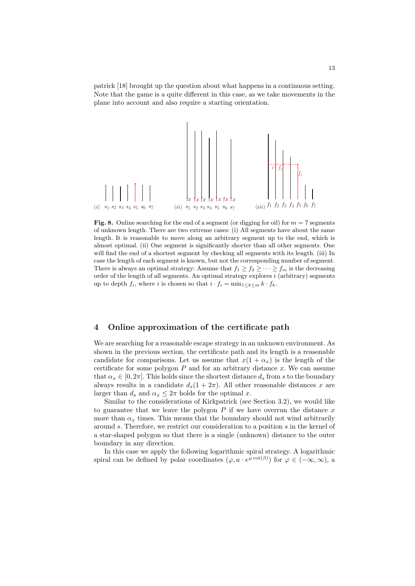patrick [\[18\]](#page-23-0) brought up the question about what happens in a continuous setting. Note that the game is a quite different in this case, as we take movements in the plane into account and also require a starting orientation.



<span id="page-12-1"></span>Fig. 8. Online searching for the end of a segment (or digging for oil) for  $m = 7$  segments of unknown length. There are two extreme cases: (i) All segments have about the same length. It is reasonable to move along an arbitrary segment up to the end, which is almost optimal. (ii) One segment is significantly shorter than all other segments. One will find the end of a shortest segment by checking all segments with its length. (iii) In case the length of each segment is known, but not the corresponding number of segment. There is always an optimal strategy: Assume that  $f_1 \ge f_2 \ge \cdots \ge f_m$  is the decreasing order of the length of all segments. An optimal strategy explores  $i$  (arbitrary) segments up to depth  $f_i$ , where i is chosen so that  $i \cdot f_i = \min_{1 \leq k \leq m} k \cdot f_k$ .

#### <span id="page-12-0"></span>4 Online approximation of the certificate path

We are searching for a reasonable escape strategy in an unknown environment. As shown in the previous section, the certificate path and its length is a reasonable candidate for comparisons. Let us assume that  $x(1 + \alpha_x)$  is the length of the certificate for some polygon  $P$  and for an arbitrary distance  $x$ . We can assume that  $\alpha_x \in [0, 2\pi]$ . This holds since the shortest distance  $d_s$  from s to the boundary always results in a candidate  $d_s(1 + 2\pi)$ . All other reasonable distances x are larger than  $d_s$  and  $\alpha_x \leq 2\pi$  holds for the optimal x.

Similar to the considerations of Kirkpatrick (see Section [3.2\)](#page-6-0), we would like to guarantee that we leave the polygon  $P$  if we have overrun the distance  $x$ more than  $\alpha_x$  times. This means that the boundary should not wind arbitrarily around s. Therefore, we restrict our consideration to a position s in the kernel of a star-shaped polygon so that there is a single (unknown) distance to the outer boundary in any direction.

In this case we apply the following logarithmic spiral strategy. A logarithmic spiral can be defined by polar coordinates  $(\varphi, a \cdot e^{\varphi \cot(\beta)})$  for  $\varphi \in (-\infty, \infty)$ , a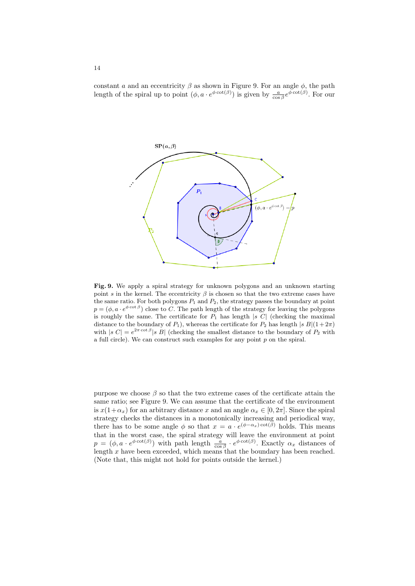constant a and an eccentricity  $\beta$  as shown in Figure [9.](#page-13-0) For an angle  $\phi$ , the path length of the spiral up to point  $(\phi, a \cdot e^{\phi \cot(\beta)})$  is given by  $\frac{a}{\cos \beta} e^{\phi \cot(\beta)}$ . For our



<span id="page-13-0"></span>Fig. 9. We apply a spiral strategy for unknown polygons and an unknown starting point s in the kernel. The eccentricity  $\beta$  is chosen so that the two extreme cases have the same ratio. For both polygons  $P_1$  and  $P_2$ , the strategy passes the boundary at point  $p = (\phi, a \cdot e^{\phi \cot \beta})$  close to C. The path length of the strategy for leaving the polygons is roughly the same. The certificate for  $P_1$  has length  $|s\ C|$  (checking the maximal distance to the boundary of  $P_1$ ), whereas the certificate for  $P_2$  has length  $|s B|(1+2\pi)$ with  $|s C| = e^{2\pi \cot \beta} |s B|$  (checking the smallest distance to the boundary of  $P_2$  with a full circle). We can construct such examples for any point  $p$  on the spiral.

purpose we choose  $\beta$  so that the two extreme cases of the certificate attain the same ratio; see Figure [9.](#page-13-0) We can assume that the certificate of the environment is  $x(1+\alpha_x)$  for an arbitrary distance x and an angle  $\alpha_x \in [0, 2\pi]$ . Since the spiral strategy checks the distances in a monotonically increasing and periodical way, there has to be some angle  $\phi$  so that  $x = a \cdot e^{(\phi - \alpha_x) \cot(\beta)}$  holds. This means that in the worst case, the spiral strategy will leave the environment at point  $p = (\phi, a \cdot e^{\phi \cot(\beta)})$  with path length  $\frac{a}{\cos \beta} \cdot e^{\phi \cot(\beta)}$ . Exactly  $\alpha_x$  distances of length  $x$  have been exceeded, which means that the boundary has been reached. (Note that, this might not hold for points outside the kernel.)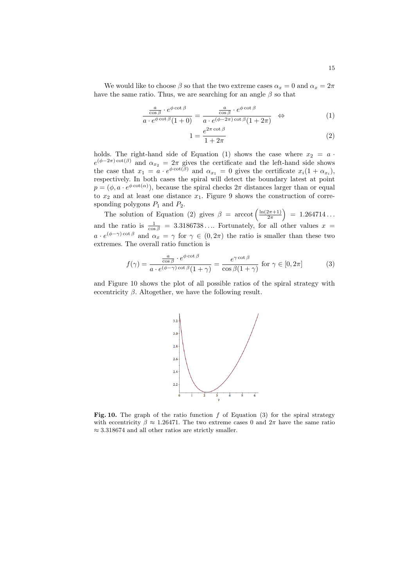We would like to choose  $\beta$  so that the two extreme cases  $\alpha_x = 0$  and  $\alpha_x = 2\pi$ have the same ratio. Thus, we are searching for an angle  $\beta$  so that

<span id="page-14-0"></span>
$$
\frac{\frac{a}{\cos\beta} \cdot e^{\phi \cot\beta}}{a \cdot e^{\phi \cot\beta} (1+0)} = \frac{\frac{a}{\cos\beta} \cdot e^{\phi \cot\beta}}{a \cdot e^{(\phi - 2\pi)\cot\beta} (1+2\pi)} \quad \Leftrightarrow \tag{1}
$$

$$
1 = \frac{e^{2\pi \cot \beta}}{1 + 2\pi} \tag{2}
$$

holds. The right-hand side of Equation [\(1\)](#page-14-0) shows the case where  $x_2 = a$ .  $e^{(\phi - 2\pi)\cot(\beta)}$  and  $\alpha_{x_2} = 2\pi$  gives the certificate and the left-hand side shows the case that  $x_1 = a \cdot e^{\phi \cot(\beta)}$  and  $\alpha_{x_1} = 0$  gives the certificate  $x_i(1 + \alpha_{x_i})$ , respectively. In both cases the spiral will detect the boundary latest at point  $p = (\phi, a \cdot e^{\phi \cot(\alpha)})$ , because the spiral checks  $2\pi$  distances larger than or equal to  $x_2$  and at least one distance  $x_1$ . Figure [9](#page-13-0) shows the construction of corresponding polygons  $P_1$  and  $P_2$ .

The solution of Equation [\(2\)](#page-14-0) gives  $\beta = \arccot \left( \frac{\ln(2\pi+1)}{2\pi} \right)$  $2\pi$  $= 1.264714...$ and the ratio is  $\frac{1}{\cos \beta} = 3.3186738...$  Fortunately, for all other values  $x =$  $a \cdot e^{(\phi - \gamma) \cot \beta}$  and  $\alpha_x = \gamma$  for  $\gamma \in (0, 2\pi)$  the ratio is smaller than these two extremes. The overall ratio function is

<span id="page-14-2"></span>
$$
f(\gamma) = \frac{\frac{a}{\cos \beta} \cdot e^{\phi \cot \beta}}{a \cdot e^{(\phi - \gamma)\cot \beta} (1 + \gamma)} = \frac{e^{\gamma \cot \beta}}{\cos \beta (1 + \gamma)} \text{ for } \gamma \in [0, 2\pi]
$$
 (3)

and Figure [10](#page-14-1) shows the plot of all possible ratios of the spiral strategy with eccentricity  $\beta$ . Altogether, we have the following result.



<span id="page-14-1"></span>Fig. 10. The graph of the ratio function  $f$  of Equation [\(3\)](#page-14-2) for the spiral strategy with eccentricity  $\beta \approx 1.26471$ . The two extreme cases 0 and  $2\pi$  have the same ratio  $\approx 3.318674$  and all other ratios are strictly smaller.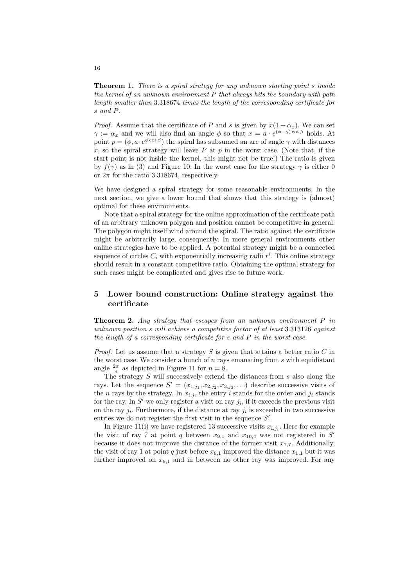Theorem 1. There is a spiral strategy for any unknown starting point s inside the kernel of an unknown environment  $P$  that always hits the boundary with path length smaller than 3.318674 times the length of the corresponding certificate for s and P.

*Proof.* Assume that the certificate of P and s is given by  $x(1 + \alpha_x)$ . We can set  $\gamma := \alpha_x$  and we will also find an angle  $\phi$  so that  $x = a \cdot e^{(\phi - \gamma) \cot \beta}$  holds. At point  $p = (\phi, a \cdot e^{\phi \cot \beta})$  the spiral has subsumed an arc of angle  $\gamma$  with distances x, so the spiral strategy will leave P at p in the worst case. (Note that, if the start point is not inside the kernel, this might not be true!) The ratio is given by  $f(\gamma)$  as in [\(3\)](#page-14-2) and Figure [10.](#page-14-1) In the worst case for the strategy  $\gamma$  is either 0 or  $2\pi$  for the ratio 3.318674, respectively.

We have designed a spiral strategy for some reasonable environments. In the next section, we give a lower bound that shows that this strategy is (almost) optimal for these environments.

Note that a spiral strategy for the online approximation of the certificate path of an arbitrary unknown polygon and position cannot be competitive in general. The polygon might itself wind around the spiral. The ratio against the certificate might be arbitrarily large, consequently. In more general environments other online strategies have to be applied. A potential strategy might be a connected sequence of circles  $C_i$  with exponentially increasing radii  $r^i$ . This online strategy should result in a constant competitive ratio. Obtaining the optimal strategy for such cases might be complicated and gives rise to future work.

# <span id="page-15-0"></span>5 Lower bound construction: Online strategy against the certificate

**Theorem 2.** Any strategy that escapes from an unknown environment  $P$  in unknown position s will achieve a competitive factor of at least 3.313126 against the length of a corresponding certificate for  $s$  and  $P$  in the worst-case.

*Proof.* Let us assume that a strategy  $S$  is given that attains a better ratio  $C$  in the worst case. We consider a bunch of  $n$  rays emanating from  $s$  with equidistant angle  $\frac{2\pi}{n}$  as depicted in Figure [11](#page-16-0) for  $n = 8$ .

The strategy  $S$  will successively extend the distances from  $s$  also along the rays. Let the sequence  $S' = (x_{1,j_1}, x_{2,j_2}, x_{3,j_3}, \ldots)$  describe successive visits of the *n* rays by the strategy. In  $x_{i,j_i}$  the entry *i* stands for the order and  $j_i$  stands for the ray. In  $S'$  we only register a visit on ray  $j_i$ , if it exceeds the previous visit on the ray  $j_i$ . Furthermore, if the distance at ray  $j_i$  is exceeded in two successive entries we do not register the first visit in the sequence  $S'$ .

In Figure [11\(](#page-16-0)i) we have registered 13 successive visits  $x_{i,j_i}$ . Here for example the visit of ray 7 at point q between  $x_{9,1}$  and  $x_{10,4}$  was not registered in S' because it does not improve the distance of the former visit  $x_{7,7}$ . Additionally, the visit of ray 1 at point q just before  $x_{9,1}$  improved the distance  $x_{1,1}$  but it was further improved on  $x_{9,1}$  and in between no other ray was improved. For any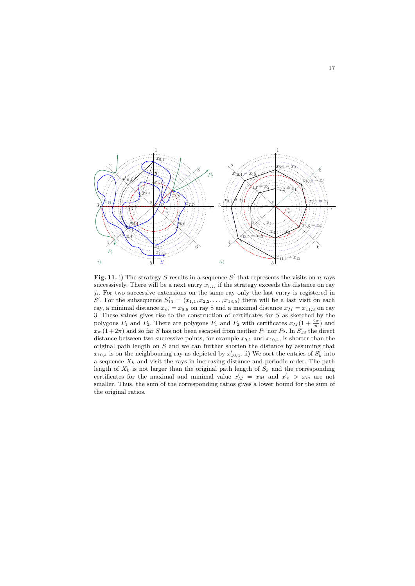

<span id="page-16-0"></span>Fig. 11. i) The strategy S results in a sequence S' that represents the visits on n rays successively. There will be a next entry  $x_{i,j_i}$  if the strategy exceeds the distance on ray  $j_i$ . For two successive extensions on the same ray only the last entry is registered in S'. For the subsequence  $S'_{13} = (x_{1,1}, x_{2,2}, \ldots, x_{13,5})$  there will be a last visit on each ray, a minimal distance  $x_m = x_{8,8}$  on ray 8 and a maximal distance  $x_M = x_{11,3}$  on ray 3. These values gives rise to the construction of certificates for S as sketched by the polygons  $P_1$  and  $P_2$ . There are polygons  $P_1$  and  $P_2$  with certificates  $x_M(1 + \frac{2\pi}{n})$  and  $x_m(1+2\pi)$  and so far S has not been escaped from neither  $P_1$  nor  $P_2$ . In  $S'_{13}$  the direct distance between two successive points, for example  $x_{9,1}$  and  $x_{10,4}$ , is shorter than the original path length on S and we can further shorten the distance by assuming that  $x_{10,4}$  is on the neighbouring ray as depicted by  $x'_{10,4}$ . ii) We sort the entries of  $S'_{k}$  into a sequence  $X_k$  and visit the rays in increasing distance and periodic order. The path length of  $X_k$  is not larger than the original path length of  $S_k$  and the corresponding certificates for the maximal and minimal value  $x'_M = x_M$  and  $x'_m > x_m$  are not smaller. Thus, the sum of the corresponding ratios gives a lower bound for the sum of the original ratios.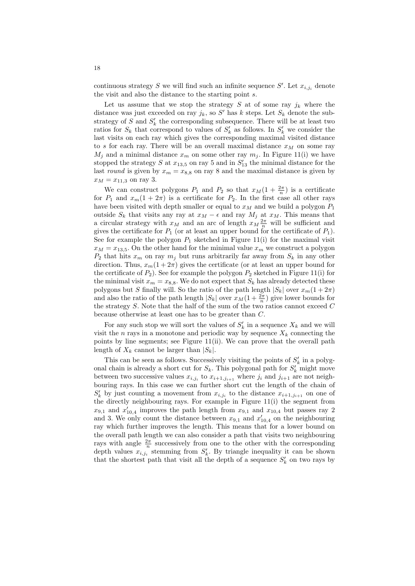continuous strategy S we will find such an infinite sequence S'. Let  $x_{i,j_i}$  denote the visit and also the distance to the starting point s.

Let us assume that we stop the strategy S at of some ray  $j_k$  where the distance was just exceeded on ray  $j_k$ , so S' has k steps. Let  $S_k$  denote the substrategy of S and  $S'_{k}$  the corresponding subsequence. There will be at least two ratios for  $S_k$  that correspond to values of  $S'_k$  as follows. In  $S'_k$  we consider the last visits on each ray which gives the corresponding maximal visited distance to s for each ray. There will be an overall maximal distance  $x<sub>M</sub>$  on some ray  $M_j$  and a minimal distance  $x_m$  on some other ray  $m_j$ . In Figure [11\(](#page-16-0)i) we have stopped the strategy  $S$  at  $x_{13,5}$  on ray 5 and in  $S'_{13}$  the minimal distance for the last round is given by  $x_m = x_{8,8}$  on ray 8 and the maximal distance is given by  $x_M = x_{11,3}$  on ray 3.

We can construct polygons  $P_1$  and  $P_2$  so that  $x_M(1 + \frac{2\pi}{n})$  is a certificate for  $P_1$  and  $x_m(1+2\pi)$  is a certificate for  $P_2$ . In the first case all other rays have been visited with depth smaller or equal to  $x_M$  and we build a polygon  $P_1$ outside  $S_k$  that visits any ray at  $x_M - \epsilon$  and ray  $M_j$  at  $x_M$ . This means that a circular strategy with  $x_M$  and an arc of length  $x_M \frac{2\pi}{n}$  will be sufficient and gives the certificate for  $P_1$  (or at least an upper bound for the certificate of  $P_1$ ). See for example the polygon  $P_1$  sketched in Figure [11\(](#page-16-0)i) for the maximal visit  $x_M = x_{13,5}$ . On the other hand for the minimal value  $x_m$  we construct a polygon  $P_2$  that hits  $x_m$  on ray  $m_j$  but runs arbitrarily far away from  $S_k$  in any other direction. Thus,  $x_m(1+2\pi)$  gives the certificate (or at least an upper bound for the certificate of  $P_2$ ). See for example the polygon  $P_2$  sketched in Figure [11\(](#page-16-0)i) for the minimal visit  $x_m = x_{8,8}$ . We do not expect that  $S_k$  has already detected these polygons but S finally will. So the ratio of the path length  $|S_k|$  over  $x_m(1+2\pi)$ and also the ratio of the path length  $|S_k|$  over  $x_M(1 + \frac{2\pi}{n})$  give lower bounds for the strategy  $S$ . Note that the half of the sum of the two ratios cannot exceed  $C$ because otherwise at least one has to be greater than C.

For any such stop we will sort the values of  $S'_{k}$  in a sequence  $X_{k}$  and we will visit the n rays in a monotone and periodic way by sequence  $X_k$  connecting the points by line segments; see Figure [11\(](#page-16-0)ii). We can prove that the overall path length of  $X_k$  cannot be larger than  $|S_k|$ .

This can be seen as follows. Successively visiting the points of  $S'_{k}$  in a polygonal chain is already a short cut for  $S_k$ . This polygonal path for  $S'_k$  might move between two successive values  $x_{i,j_i}$  to  $x_{i+1,j_{i+1}}$  where  $j_i$  and  $j_{i+1}$  are not neighbouring rays. In this case we can further short cut the length of the chain of  $S'_{k}$  by just counting a movement from  $x_{i,j_i}$  to the distance  $x_{i+1,j_{i+1}}$  on one of the directly neighbouring rays. For example in Figure [11\(](#page-16-0)i) the segment from  $x_{9,1}$  and  $x'_{10,4}$  improves the path length from  $x_{9,1}$  and  $x_{10,4}$  but passes ray 2 and 3. We only count the distance between  $x_{9,1}$  and  $x'_{10,4}$  on the neighbouring ray which further improves the length. This means that for a lower bound on the overall path length we can also consider a path that visits two neighbouring rays with angle  $\frac{2\pi}{n}$  successively from one to the other with the corresponding depth values  $x_{i,j_i}$  stemming from  $S'_k$ . By triangle inequality it can be shown that the shortest path that visit all the depth of a sequence  $S'_{k}$  on two rays by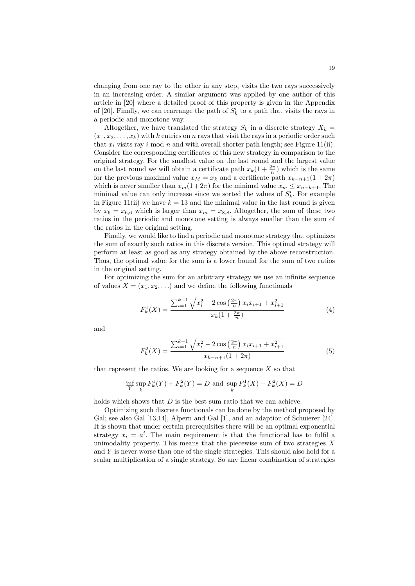changing from one ray to the other in any step, visits the two rays successively in an increasing order. A similar argument was applied by one author of this article in [\[20\]](#page-23-15) where a detailed proof of this property is given in the Appendix of [\[20\]](#page-23-15). Finally, we can rearrange the path of  $S'_{k}$  to a path that visits the rays in a periodic and monotone way.

Altogether, we have translated the strategy  $S_k$  in a discrete strategy  $X_k =$  $(x_1, x_2, \ldots, x_k)$  with k entries on n rays that visit the rays in a periodic order such that  $x_i$  visits ray i mod n and with overall shorter path length; see Figure [11\(](#page-16-0)ii). Consider the corresponding certificates of this new strategy in comparison to the original strategy. For the smallest value on the last round and the largest value on the last round we will obtain a certificate path  $x_k(1 + \frac{2\pi}{n})$  which is the same for the previous maximal value  $x_M = x_k$  and a certificate path  $x_{k-n+1}(1+2\pi)$ which is never smaller than  $x_m(1+2\pi)$  for the minimal value  $x_m \leq x_{n-k+1}$ . The minimal value can only increase since we sorted the values of  $S'_{k}$ . For example in Figure [11\(](#page-16-0)ii) we have  $k = 13$  and the minimal value in the last round is given by  $x_6 = x_{6,6}$  which is larger than  $x_m = x_{8,8}$ . Altogether, the sum of these two ratios in the periodic and monotone setting is always smaller than the sum of the ratios in the original setting.

Finally, we would like to find a periodic and monotone strategy that optimizes the sum of exactly such ratios in this discrete version. This optimal strategy will perform at least as good as any strategy obtained by the above reconstruction. Thus, the optimal value for the sum is a lower bound for the sum of two ratios in the original setting.

For optimizing the sum for an arbitrary strategy we use an infinite sequence of values  $X = (x_1, x_2, ...)$  and we define the following functionals

$$
F_k^1(X) = \frac{\sum_{i=1}^{k-1} \sqrt{x_i^2 - 2\cos\left(\frac{2\pi}{n}\right) x_i x_{i+1} + x_{i+1}^2}}{x_k (1 + \frac{2\pi}{n})}
$$
(4)

and

$$
F_k^2(X) = \frac{\sum_{i=1}^{k-1} \sqrt{x_i^2 - 2\cos\left(\frac{2\pi}{n}\right) x_i x_{i+1} + x_{i+1}^2}}{x_{k-n+1}(1+2\pi)}\tag{5}
$$

that represent the ratios. We are looking for a sequence  $X$  so that

$$
\inf_{Y} \sup_{k} F_{k}^{1}(Y) + F_{k}^{2}(Y) = D \text{ and } \sup_{k} F_{k}^{1}(X) + F_{k}^{2}(X) = D
$$

holds which shows that  $D$  is the best sum ratio that we can achieve.

Optimizing such discrete functionals can be done by the method proposed by Gal; see also Gal [\[13,](#page-23-17)[14\]](#page-23-1), Alpern and Gal [\[1\]](#page-22-0), and an adaption of Schuierer [\[24\]](#page-23-18). It is shown that under certain prerequisites there will be an optimal exponential strategy  $x_i = a^i$ . The main requirement is that the functional has to fulfil a unimodality property. This means that the piecewise sum of two strategies  $X$ and Y is never worse than one of the single strategies. This should also hold for a scalar multiplication of a single strategy. So any linear combination of strategies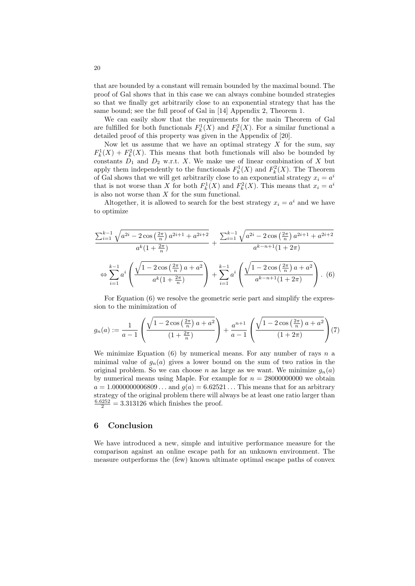that are bounded by a constant will remain bounded by the maximal bound. The proof of Gal shows that in this case we can always combine bounded strategies so that we finally get arbitrarily close to an exponential strategy that has the same bound; see the full proof of Gal in [\[14\]](#page-23-1) Appendix 2, Theorem 1.

We can easily show that the requirements for the main Theorem of Gal are fulfilled for both functionals  $F_k^1(X)$  and  $F_k^2(X)$ . For a similar functional a detailed proof of this property was given in the Appendix of [\[20\]](#page-23-15).

Now let us assume that we have an optimal strategy  $X$  for the sum, say  $F_k^1(X) + F_k^2(X)$ . This means that both functionals will also be bounded by constants  $D_1$  and  $D_2$  w.r.t. X. We make use of linear combination of X but apply them independently to the functionals  $F_k^1(X)$  and  $F_k^2(X)$ . The Theorem of Gal shows that we will get arbitrarily close to an exponential strategy  $x_i = a^i$ that is not worse than X for both  $F_k^1(X)$  and  $F_k^2(X)$ . This means that  $x_i = a^i$ is also not worse than  $X$  for the sum functional.

Altogether, it is allowed to search for the best strategy  $x_i = a^i$  and we have to optimize

<span id="page-19-0"></span>
$$
\frac{\sum_{i=1}^{k-1} \sqrt{a^{2i} - 2\cos\left(\frac{2\pi}{n}\right) a^{2i+1} + a^{2i+2}}}{a^k (1 + \frac{2\pi}{n})} + \frac{\sum_{i=1}^{k-1} \sqrt{a^{2i} - 2\cos\left(\frac{2\pi}{n}\right) a^{2i+1} + a^{2i+2}}}{a^{k-n+1} (1 + 2\pi)}
$$

$$
\Leftrightarrow \sum_{i=1}^{k-1} a^i \left( \frac{\sqrt{1 - 2\cos\left(\frac{2\pi}{n}\right) a + a^2}}{a^k (1 + \frac{2\pi}{n})} \right) + \sum_{i=1}^{k-1} a^i \left( \frac{\sqrt{1 - 2\cos\left(\frac{2\pi}{n}\right) a + a^2}}{a^{k-n+1} (1 + 2\pi)} \right). (6)
$$

For Equation [\(6\)](#page-19-0) we resolve the geometric serie part and simplify the expression to the minimization of

$$
g_n(a) := \frac{1}{a-1} \left( \frac{\sqrt{1 - 2\cos\left(\frac{2\pi}{n}\right)a + a^2}}{(1 + \frac{2\pi}{n})} \right) + \frac{a^{n+1}}{a-1} \left( \frac{\sqrt{1 - 2\cos\left(\frac{2\pi}{n}\right)a + a^2}}{(1 + 2\pi)} \right) (7)
$$

We minimize Equation  $(6)$  by numerical means. For any number of rays n a minimal value of  $g_n(a)$  gives a lower bound on the sum of two ratios in the original problem. So we can choose n as large as we want. We minimize  $g_n(a)$ by numerical means using Maple. For example for  $n = 28000000000$  we obtain  $a = 1.0000000006809...$  and  $g(a) = 6.62521...$  This means that for an arbitrary strategy of the original problem there will always be at least one ratio larger than  $\frac{6.6252}{2} = 3.313126$  which finishes the proof.

## 6 Conclusion

We have introduced a new, simple and intuitive performance measure for the comparison against an online escape path for an unknown environment. The measure outperforms the (few) known ultimate optimal escape paths of convex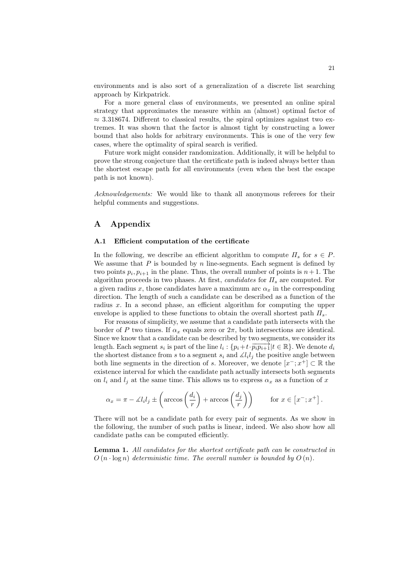environments and is also sort of a generalization of a discrete list searching approach by Kirkpatrick.

For a more general class of environments, we presented an online spiral strategy that approximates the measure within an (almost) optimal factor of  $\approx$  3.318674. Different to classical results, the spiral optimizes against two extremes. It was shown that the factor is almost tight by constructing a lower bound that also holds for arbitrary environments. This is one of the very few cases, where the optimality of spiral search is verified.

Future work might consider randomization. Additionally, it will be helpful to prove the strong conjecture that the certificate path is indeed always better than the shortest escape path for all environments (even when the best the escape path is not known).

Acknowledgements: We would like to thank all anonymous referees for their helpful comments and suggestions.

# A Appendix

#### <span id="page-20-0"></span>A.1 Efficient computation of the certificate

In the following, we describe an efficient algorithm to compute  $\Pi_s$  for  $s \in P$ . We assume that  $P$  is bounded by  $n$  line-segments. Each segment is defined by two points  $p_i, p_{i+1}$  in the plane. Thus, the overall number of points is  $n+1$ . The algorithm proceeds in two phases. At first, candidates for  $\Pi_s$  are computed. For a given radius x, those candidates have a maximum arc  $\alpha_x$  in the corresponding direction. The length of such a candidate can be described as a function of the radius  $x$ . In a second phase, an efficient algorithm for computing the upper envelope is applied to these functions to obtain the overall shortest path  $\Pi_s$ .

For reasons of simplicity, we assume that a candidate path intersects with the border of P two times. If  $\alpha_x$  equals zero or  $2\pi$ , both intersections are identical. Since we know that a candidate can be described by two segments, we consider its length. Each segment  $s_i$  is part of the line  $l_i: \{p_i + t \cdot \overline{p_i p_{i+1}} | t \in \mathbb{R} \}$ . We denote  $d_i$ the shortest distance from s to a segment  $s_i$  and  $\angle l_i l_j$  the positive angle between both line segments in the direction of s. Moreover, we denote  $[x^{\text{-}};x^{\text{+}}] \subset \mathbb{R}$  the existence interval for which the candidate path actually intersects both segments on  $l_i$  and  $l_j$  at the same time. This allows us to express  $\alpha_x$  as a function of x

$$
\alpha_x = \pi - \measuredangle l_i l_j \pm \left(\arccos\left(\frac{d_i}{r}\right) + \arccos\left(\frac{d_j}{r}\right)\right) \qquad \text{for } x \in \left[x^-; x^+\right].
$$

There will not be a candidate path for every pair of segments. As we show in the following, the number of such paths is linear, indeed. We also show how all candidate paths can be computed efficiently.

Lemma 1. All candidates for the shortest certificate path can be constructed in  $O(n \cdot \log n)$  deterministic time. The overall number is bounded by  $O(n)$ .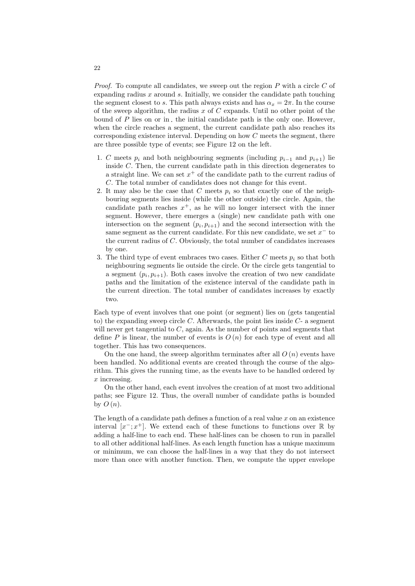*Proof.* To compute all candidates, we sweep out the region  $P$  with a circle  $C$  of expanding radius  $x$  around  $s$ . Initially, we consider the candidate path touching the segment closest to s. This path always exists and has  $\alpha_x = 2\pi$ . In the course of the sweep algorithm, the radius  $x$  of  $C$  expands. Until no other point of the bound of  $P$  lies on or in, the initial candidate path is the only one. However, when the circle reaches a segment, the current candidate path also reaches its corresponding existence interval. Depending on how  $C$  meets the segment, there are three possible type of events; see Figure [12](#page-22-7) on the left.

- 1. C meets  $p_i$  and both neighbouring segments (including  $p_{i-1}$  and  $p_{i+1}$ ) lie inside C. Then, the current candidate path in this direction degenerates to a straight line. We can set  $x^+$  of the candidate path to the current radius of C. The total number of candidates does not change for this event.
- 2. It may also be the case that C meets  $p_i$  so that exactly one of the neighbouring segments lies inside (while the other outside) the circle. Again, the candidate path reaches  $x^+$ , as he will no longer intersect with the inner segment. However, there emerges a (single) new candidate path with one intersection on the segment  $(p_i, p_{i+1})$  and the second intersection with the same segment as the current candidate. For this new candidate, we set  $x^-$  to the current radius of C. Obviously, the total number of candidates increases by one.
- 3. The third type of event embraces two cases. Either C meets  $p_i$  so that both neighbouring segments lie outside the circle. Or the circle gets tangential to a segment  $(p_i, p_{i+1})$ . Both cases involve the creation of two new candidate paths and the limitation of the existence interval of the candidate path in the current direction. The total number of candidates increases by exactly two.

Each type of event involves that one point (or segment) lies on (gets tangential to) the expanding sweep circle  $C$ . Afterwards, the point lies inside  $C$ - a segment will never get tangential to  $C$ , again. As the number of points and segments that define P is linear, the number of events is  $O(n)$  for each type of event and all together. This has two consequences.

On the one hand, the sweep algorithm terminates after all  $O(n)$  events have been handled. No additional events are created through the course of the algorithm. This gives the running time, as the events have to be handled ordered by  $x$  increasing.

On the other hand, each event involves the creation of at most two additional paths; see Figure [12.](#page-22-7) Thus, the overall number of candidate paths is bounded by  $O(n)$ .

The length of a candidate path defines a function of a real value  $x$  on an existence interval  $[x^{-};x^{+}]$ . We extend each of these functions to functions over R by adding a half-line to each end. These half-lines can be chosen to run in parallel to all other additional half-lines. As each length function has a unique maximum or minimum, we can choose the half-lines in a way that they do not intersect more than once with another function. Then, we compute the upper envelope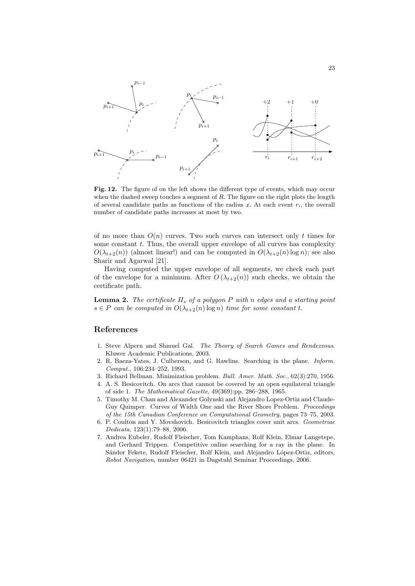

<span id="page-22-7"></span>Fig. 12. The figure of on the left shows the different type of events, which may occur when the dashed sweep touches a segment of  $R$ . The figure on the right plots the length of several candidate paths as functions of the radius x. At each event  $r_i$ , the overall number of candidate paths increases at most by two.

of no more than  $O(n)$  curves. Two such curves can intersect only t times for some constant  $t$ . Thus, the overall upper envelope of all curves has complexity  $O(\lambda_{t+2}(n))$  (almost linear!) and can be computed in  $O(\lambda_{t+2}(n) \log n)$ ; see also Sharir and Agarwal [\[21\]](#page-23-19).

Having computed the upper envelope of all segments, we check each part of the envelope for a minimum. After  $O(\lambda_{t+2}(n))$  such checks, we obtain the certificate path.

**Lemma 2.** The certificate  $\Pi_s$  of a polygon P with n edges and a starting point  $s \in P$  can be computed in  $O(\lambda_{t+2}(n) \log n)$  time for some constant t.

# References

- <span id="page-22-0"></span>1. Steve Alpern and Shmuel Gal. The Theory of Search Games and Rendezvous. Kluwer Academic Publications, 2003.
- <span id="page-22-4"></span>2. R. Baeza-Yates, J. Culberson, and G. Rawlins. Searching in the plane. Inform. Comput., 106:234–252, 1993.
- <span id="page-22-1"></span>3. Richard Bellman. Minimization problem. Bull. Amer. Math. Soc., 62(3):270, 1956.
- <span id="page-22-2"></span>4. A. S. Besicovitch. On arcs that cannot be covered by an open equilateral triangle of side 1. The Mathematical Gazette, 49(369):pp. 286–288, 1965.
- <span id="page-22-6"></span>5. Timothy M. Chan and Alexander Golynski and Alejandro Lopez-Ortiz and Claude-Guy Quimper. Curves of Width One and the River Shore Problem. Proceedings of the 15th Canadian Conference on Computational Geometry, pages 73–75, 2003.
- <span id="page-22-3"></span>6. P. Coulton and Y. Movshovich. Besicovitch triangles cover unit arcs. Geometriae Dedicata, 123(1):79–88, 2006.
- <span id="page-22-5"></span>7. Andrea Eubeler, Rudolf Fleischer, Tom Kamphans, Rolf Klein, Elmar Langetepe, and Gerhard Trippen. Competitive online searching for a ray in the plane. In Sándor Fekete, Rudolf Fleischer, Rolf Klein, and Alejandro López-Ortiz, editors, Robot Navigation, number 06421 in Dagstuhl Seminar Proceedings, 2006.